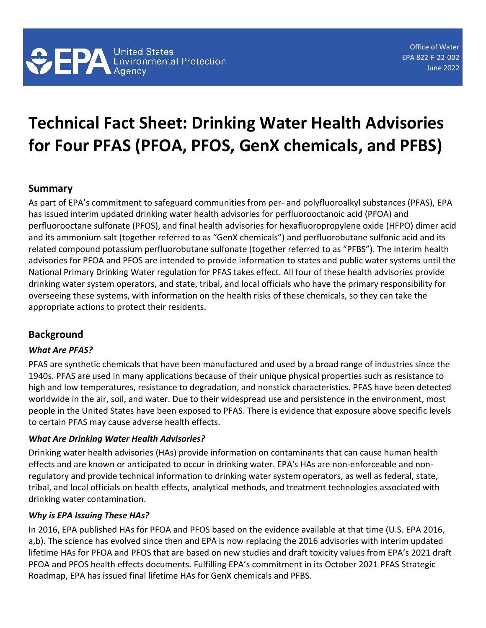# **Technical Fact Sheet: Drinking Water Health Advisories for Four PFAS (PFOA, PFOS, GenX chemicals, and PFBS)**

## **Summary**

As part of EPA's commitment to safeguard communities from per- and polyfluoroalkyl substances (PFAS), EPA has issued interim updated drinking water health advisories for perfluorooctanoic acid (PFOA) and perfluorooctane sulfonate (PFOS), and final health advisories for hexafluoropropylene oxide (HFPO) dimer acid and its ammonium salt (together referred to as "GenX chemicals") and perfluorobutane sulfonic acid and its related compound potassium perfluorobutane sulfonate (together referred to as "PFBS"). The interim health advisories for PFOA and PFOS are intended to provide information to states and public water systems until the National Primary Drinking Water regulation for PFAS takes effect. All four of these health advisories provide drinking water system operators, and state, tribal, and local officials who have the primary responsibility for overseeing these systems, with information on the health risks of these chemicals, so they can take the appropriate actions to protect their residents.

# **Background**

#### *What Are PFAS?*

PFAS are synthetic chemicals that have been manufactured and used by a broad range of industries since the 1940s. PFAS are used in many applications because of their unique physical properties such as resistance to high and low temperatures, resistance to degradation, and nonstick characteristics. PFAS have been detected worldwide in the air, soil, and water. Due to their widespread use and persistence in the environment, most people in the United States have been exposed to PFAS. There is evidence that exposure above specific levels to certain PFAS may cause adverse health effects.

#### *What Are Drinking Water Health Advisories?*

Drinking water health advisories (HAs) provide information on contaminants that can cause human health effects and are known or anticipated to occur in drinking water. EPA's HAs are non-enforceable and nonregulatory and provide technical information to drinking water system operators, as well as federal, state, tribal, and local officials on health effects, analytical methods, and treatment technologies associated with drinking water contamination.

#### *Why is EPA Issuing These HAs?*

In 2016, EPA published HAs for PFOA and PFOS based on the evidence available at that time (U.S. EPA 2016, a,b). The science has evolved since then and EPA is now replacing the 2016 advisories with interim updated lifetime HAs for PFOA and PFOS that are based on new studies and draft toxicity values from EPA's 2021 draft PFOA and PFOS health effects documents. Fulfilling EPA's commitment in its October 2021 PFAS Strategic Roadmap, EPA has issued final lifetime HAs for GenX chemicals and PFBS.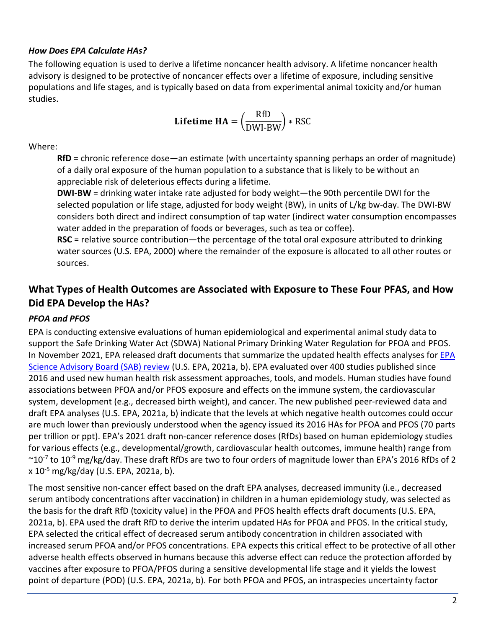#### *How Does EPA Calculate HAs?*

The following equation is used to derive a lifetime noncancer health advisory. A lifetime noncancer health advisory is designed to be protective of noncancer effects over a lifetime of exposure, including sensitive populations and life stages, and is typically based on data from experimental animal toxicity and/or human studies.

**Lifetime HA** = 
$$
\left(\frac{\text{RfD}}{\text{DWI-BW}}\right) * \text{RSC}
$$

Where:

**RfD** = chronic reference dose—an estimate (with uncertainty spanning perhaps an order of magnitude) of a daily oral exposure of the human population to a substance that is likely to be without an appreciable risk of deleterious effects during a lifetime.

**DWI-BW** = drinking water intake rate adjusted for body weight—the 90th percentile DWI for the selected population or life stage, adjusted for body weight (BW), in units of L/kg bw-day. The DWI-BW considers both direct and indirect consumption of tap water (indirect water consumption encompasses water added in the preparation of foods or beverages, such as tea or coffee).

**RSC** = relative source contribution—the percentage of the total oral exposure attributed to drinking water sources (U.S. EPA, 2000) where the remainder of the exposure is allocated to all other routes or sources.

## **What Types of Health Outcomes are Associated with Exposure to These Four PFAS, and How Did EPA Develop the HAs?**

### *PFOA and PFOS*

EPA is conducting extensive evaluations of human epidemiological and experimental animal study data to support the Safe Drinking Water Act (SDWA) National Primary Drinking Water Regulation for PFOA and PFOS. In November 2021, EPA released draft documents that summarize the updated health effects analyses for [EPA](https://sab.epa.gov/ords/sab/f?p=100:19:9687145615924:::RP,19:P19_ID:963)  [Science Advisory Board \(SAB\) review](https://sab.epa.gov/ords/sab/f?p=100:19:9687145615924:::RP,19:P19_ID:963) (U.S. EPA, 2021a, b). EPA evaluated over 400 studies published since 2016 and used new human health risk assessment approaches, tools, and models. Human studies have found associations between PFOA and/or PFOS exposure and effects on the immune system, the cardiovascular system, development (e.g., decreased birth weight), and cancer. The new published peer-reviewed data and draft EPA analyses (U.S. EPA, 2021a, b) indicate that the levels at which negative health outcomes could occur are much lower than previously understood when the agency issued its 2016 HAs for PFOA and PFOS (70 parts per trillion or ppt). EPA's 2021 draft non-cancer reference doses (RfDs) based on human epidemiology studies for various effects (e.g., developmental/growth, cardiovascular health outcomes, immune health) range from  $\sim$ 10<sup>-7</sup> to 10<sup>-9</sup> mg/kg/day. These draft RfDs are two to four orders of magnitude lower than EPA's 2016 RfDs of 2 x 10-5 mg/kg/day (U.S. EPA, 2021a, b).

The most sensitive non-cancer effect based on the draft EPA analyses, decreased immunity (i.e., decreased serum antibody concentrations after vaccination) in children in a human epidemiology study, was selected as the basis for the draft RfD (toxicity value) in the PFOA and PFOS health effects draft documents (U.S. EPA, 2021a, b). EPA used the draft RfD to derive the interim updated HAs for PFOA and PFOS. In the critical study, EPA selected the critical effect of decreased serum antibody concentration in children associated with increased serum PFOA and/or PFOS concentrations. EPA expects this critical effect to be protective of all other adverse health effects observed in humans because this adverse effect can reduce the protection afforded by vaccines after exposure to PFOA/PFOS during a sensitive developmental life stage and it yields the lowest point of departure (POD) (U.S. EPA, 2021a, b). For both PFOA and PFOS, an intraspecies uncertainty factor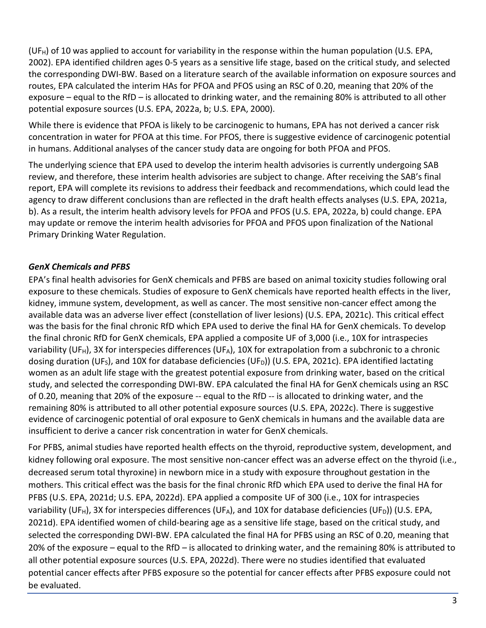(UF<sub>H</sub>) of 10 was applied to account for variability in the response within the human population (U.S. EPA, 2002). EPA identified children ages 0-5 years as a sensitive life stage, based on the critical study, and selected the corresponding DWI-BW. Based on a literature search of the available information on exposure sources and routes, EPA calculated the interim HAs for PFOA and PFOS using an RSC of 0.20, meaning that 20% of the exposure – equal to the RfD – is allocated to drinking water, and the remaining 80% is attributed to all other potential exposure sources (U.S. EPA, 2022a, b; U.S. EPA, 2000).

While there is evidence that PFOA is likely to be carcinogenic to humans, EPA has not derived a cancer risk concentration in water for PFOA at this time. For PFOS, there is suggestive evidence of carcinogenic potential in humans. Additional analyses of the cancer study data are ongoing for both PFOA and PFOS.

The underlying science that EPA used to develop the interim health advisories is currently undergoing SAB review, and therefore, these interim health advisories are subject to change. After receiving the SAB's final report, EPA will complete its revisions to address their feedback and recommendations, which could lead the agency to draw different conclusions than are reflected in the draft health effects analyses (U.S. EPA, 2021a, b). As a result, the interim health advisory levels for PFOA and PFOS (U.S. EPA, 2022a, b) could change. EPA may update or remove the interim health advisories for PFOA and PFOS upon finalization of the National Primary Drinking Water Regulation.

### *GenX Chemicals and PFBS*

EPA's final health advisories for GenX chemicals and PFBS are based on animal toxicity studies following oral exposure to these chemicals. Studies of exposure to GenX chemicals have reported health effects in the liver, kidney, immune system, development, as well as cancer. The most sensitive non-cancer effect among the available data was an adverse liver effect (constellation of liver lesions) (U.S. EPA, 2021c). This critical effect was the basis for the final chronic RfD which EPA used to derive the final HA for GenX chemicals. To develop the final chronic RfD for GenX chemicals, EPA applied a composite UF of 3,000 (i.e., 10X for intraspecies variability (UF<sub>H</sub>), 3X for interspecies differences (UF<sub>A</sub>), 10X for extrapolation from a subchronic to a chronic dosing duration (UF<sub>S</sub>), and 10X for database deficiencies (UF<sub>D</sub>)) (U.S. EPA, 2021c). EPA identified lactating women as an adult life stage with the greatest potential exposure from drinking water, based on the critical study, and selected the corresponding DWI-BW. EPA calculated the final HA for GenX chemicals using an RSC of 0.20, meaning that 20% of the exposure -- equal to the RfD -- is allocated to drinking water, and the remaining 80% is attributed to all other potential exposure sources (U.S. EPA, 2022c). There is suggestive evidence of carcinogenic potential of oral exposure to GenX chemicals in humans and the available data are insufficient to derive a cancer risk concentration in water for GenX chemicals.

For PFBS, animal studies have reported health effects on the thyroid, reproductive system, development, and kidney following oral exposure. The most sensitive non-cancer effect was an adverse effect on the thyroid (i.e., decreased serum total thyroxine) in newborn mice in a study with exposure throughout gestation in the mothers. This critical effect was the basis for the final chronic RfD which EPA used to derive the final HA for PFBS (U.S. EPA, 2021d; U.S. EPA, 2022d). EPA applied a composite UF of 300 (i.e., 10X for intraspecies variability (UF<sub>H</sub>), 3X for interspecies differences (UF<sub>A</sub>), and 10X for database deficiencies (UF<sub>D</sub>)) (U.S. EPA, 2021d). EPA identified women of child-bearing age as a sensitive life stage, based on the critical study, and selected the corresponding DWI-BW. EPA calculated the final HA for PFBS using an RSC of 0.20, meaning that 20% of the exposure – equal to the RfD – is allocated to drinking water, and the remaining 80% is attributed to all other potential exposure sources (U.S. EPA, 2022d). There were no studies identified that evaluated potential cancer effects after PFBS exposure so the potential for cancer effects after PFBS exposure could not be evaluated.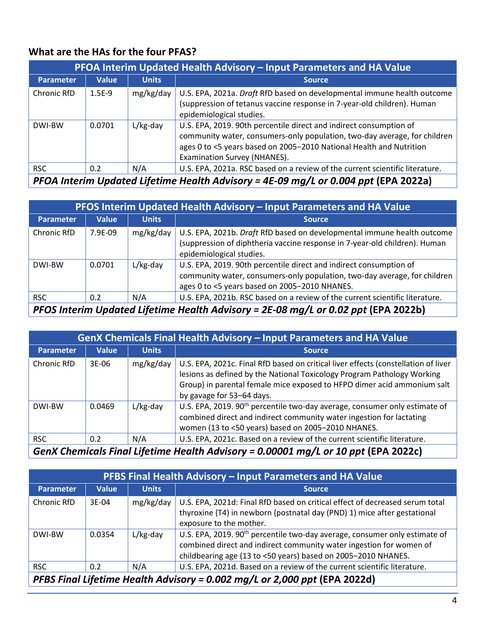# **What are the HAs for the four PFAS?**

| PFOA Interim Updated Health Advisory – Input Parameters and HA Value |              |              |                                                                                                                                                                                                                                                        |  |  |
|----------------------------------------------------------------------|--------------|--------------|--------------------------------------------------------------------------------------------------------------------------------------------------------------------------------------------------------------------------------------------------------|--|--|
| <b>Parameter</b>                                                     | <b>Value</b> | <b>Units</b> | <b>Source</b>                                                                                                                                                                                                                                          |  |  |
| Chronic RfD                                                          | $1.5E-9$     | mg/kg/day    | U.S. EPA, 2021a. Draft RfD based on developmental immune health outcome<br>(suppression of tetanus vaccine response in 7-year-old children). Human<br>epidemiological studies.                                                                         |  |  |
| DWI-BW                                                               | 0.0701       | $L/kg$ -day  | U.S. EPA, 2019. 90th percentile direct and indirect consumption of<br>community water, consumers-only population, two-day average, for children<br>ages 0 to <5 years based on 2005-2010 National Health and Nutrition<br>Examination Survey (NHANES). |  |  |
| <b>RSC</b>                                                           | 0.2          | N/A          | U.S. EPA, 2021a. RSC based on a review of the current scientific literature.                                                                                                                                                                           |  |  |

*PFOA Interim Updated Lifetime Health Advisory = 4E-09 mg/L or 0.004 ppt* **(EPA 2022a)**

| PFOS Interim Updated Health Advisory – Input Parameters and HA Value                                                                                                               |              |              |                                                                                                                                                                                                  |  |  |
|------------------------------------------------------------------------------------------------------------------------------------------------------------------------------------|--------------|--------------|--------------------------------------------------------------------------------------------------------------------------------------------------------------------------------------------------|--|--|
| <b>Parameter</b>                                                                                                                                                                   | <b>Value</b> | <b>Units</b> | <b>Source</b>                                                                                                                                                                                    |  |  |
| Chronic RfD                                                                                                                                                                        | 7.9F-09      | mg/kg/day    | U.S. EPA, 2021b. Draft RfD based on developmental immune health outcome<br>(suppression of diphtheria vaccine response in 7-year-old children). Human<br>epidemiological studies.                |  |  |
| DWI-BW                                                                                                                                                                             | 0.0701       | $L/kg$ -day  | U.S. EPA, 2019. 90th percentile direct and indirect consumption of<br>community water, consumers-only population, two-day average, for children<br>ages 0 to <5 years based on 2005-2010 NHANES. |  |  |
| <b>RSC</b>                                                                                                                                                                         | 0.2          | N/A          | U.S. EPA, 2021b. RSC based on a review of the current scientific literature.                                                                                                                     |  |  |
| $\mathcal{L}$ and $\mathcal{L}$ and $\mathcal{L}$ is the subset of the set of $\mathcal{L}$ and $\mathcal{L}$ and $\mathcal{L}$ and $\mathcal{L}$ and $\mathcal{L}$<br><u>nrac</u> |              |              |                                                                                                                                                                                                  |  |  |

*PFOS Interim Updated Lifetime Health Advisory = 2E-08 mg/L or 0.02 ppt* **(EPA 2022b)**

| GenX Chemicals Final Health Advisory - Input Parameters and HA Value              |              |              |                                                                                                                                                                                                                                                                       |  |  |
|-----------------------------------------------------------------------------------|--------------|--------------|-----------------------------------------------------------------------------------------------------------------------------------------------------------------------------------------------------------------------------------------------------------------------|--|--|
| <b>Parameter</b>                                                                  | <b>Value</b> | <b>Units</b> | <b>Source</b>                                                                                                                                                                                                                                                         |  |  |
| Chronic RfD                                                                       | $3E-06$      | mg/kg/day    | U.S. EPA, 2021c. Final RfD based on critical liver effects (constellation of liver<br>lesions as defined by the National Toxicology Program Pathology Working<br>Group) in parental female mice exposed to HFPO dimer acid ammonium salt<br>by gavage for 53-64 days. |  |  |
| DWI-BW                                                                            | 0.0469       | $L/kg$ -day  | U.S. EPA, 2019. 90 <sup>th</sup> percentile two-day average, consumer only estimate of<br>combined direct and indirect community water ingestion for lactating<br>women (13 to <50 years) based on 2005-2010 NHANES.                                                  |  |  |
| <b>RSC</b>                                                                        | 0.2          | N/A          | U.S. EPA, 2021c. Based on a review of the current scientific literature.                                                                                                                                                                                              |  |  |
| GenX Chemicals Final Lifetime Health Advisory - 0.00001 ma/Lor 10 nnt (FDA 2022c) |              |              |                                                                                                                                                                                                                                                                       |  |  |

*GenX Chemicals Final Lifetime Health Advisory = 0.00001 mg/L or 10 ppt* **(EPA 2022c)**

| <b>PFBS Final Health Advisory - Input Parameters and HA Value</b>         |              |              |                                                                                                                                                                                                                                |  |  |  |
|---------------------------------------------------------------------------|--------------|--------------|--------------------------------------------------------------------------------------------------------------------------------------------------------------------------------------------------------------------------------|--|--|--|
| <b>Parameter</b>                                                          | <b>Value</b> | <b>Units</b> | <b>Source</b>                                                                                                                                                                                                                  |  |  |  |
| Chronic RfD                                                               | 3E-04        | mg/kg/day    | U.S. EPA, 2021d: Final RfD based on critical effect of decreased serum total<br>thyroxine (T4) in newborn (postnatal day (PND) 1) mice after gestational<br>exposure to the mother.                                            |  |  |  |
| DWI-BW                                                                    | 0.0354       | $L/kg$ -day  | U.S. EPA, 2019. 90 <sup>th</sup> percentile two-day average, consumer only estimate of<br>combined direct and indirect community water ingestion for women of<br>childbearing age (13 to <50 years) based on 2005-2010 NHANES. |  |  |  |
| <b>RSC</b>                                                                | 0.2          | N/A          | U.S. EPA, 2021d. Based on a review of the current scientific literature.                                                                                                                                                       |  |  |  |
| PFBS Final Lifetime Health Advisory = 0.002 mg/L or 2,000 ppt (EPA 2022d) |              |              |                                                                                                                                                                                                                                |  |  |  |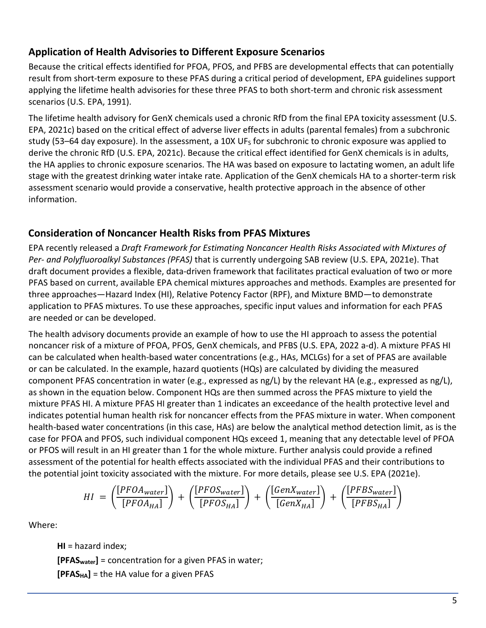# **Application of Health Advisories to Different Exposure Scenarios**

Because the critical effects identified for PFOA, PFOS, and PFBS are developmental effects that can potentially result from short-term exposure to these PFAS during a critical period of development, EPA guidelines support applying the lifetime health advisories for these three PFAS to both short-term and chronic risk assessment scenarios (U.S. EPA, 1991).

The lifetime health advisory for GenX chemicals used a chronic RfD from the final EPA toxicity assessment (U.S. EPA, 2021c) based on the critical effect of adverse liver effects in adults (parental females) from a subchronic study (53–64 day exposure). In the assessment, a 10X  $UF<sub>S</sub>$  for subchronic to chronic exposure was applied to derive the chronic RfD (U.S. EPA, 2021c). Because the critical effect identified for GenX chemicals is in adults, the HA applies to chronic exposure scenarios. The HA was based on exposure to lactating women, an adult life stage with the greatest drinking water intake rate. Application of the GenX chemicals HA to a shorter-term risk assessment scenario would provide a conservative, health protective approach in the absence of other information.

## **Consideration of Noncancer Health Risks from PFAS Mixtures**

EPA recently released a *Draft Framework for Estimating Noncancer Health Risks Associated with Mixtures of Per- and Polyfluoroalkyl Substances (PFAS)* that is currently undergoing SAB review (U.S. EPA, 2021e). That draft document provides a flexible, data-driven framework that facilitates practical evaluation of two or more PFAS based on current, available EPA chemical mixtures approaches and methods. Examples are presented for three approaches—Hazard Index (HI), Relative Potency Factor (RPF), and Mixture BMD—to demonstrate application to PFAS mixtures. To use these approaches, specific input values and information for each PFAS are needed or can be developed.

The health advisory documents provide an example of how to use the HI approach to assess the potential noncancer risk of a mixture of PFOA, PFOS, GenX chemicals, and PFBS (U.S. EPA, 2022 a-d). A mixture PFAS HI can be calculated when health-based water concentrations (e.g., HAs, MCLGs) for a set of PFAS are available or can be calculated. In the example, hazard quotients (HQs) are calculated by dividing the measured component PFAS concentration in water (e.g., expressed as ng/L) by the relevant HA (e.g., expressed as ng/L), as shown in the equation below. Component HQs are then summed across the PFAS mixture to yield the mixture PFAS HI. A mixture PFAS HI greater than 1 indicates an exceedance of the health protective level and indicates potential human health risk for noncancer effects from the PFAS mixture in water. When component health-based water concentrations (in this case, HAs) are below the analytical method detection limit, as is the case for PFOA and PFOS, such individual component HQs exceed 1, meaning that any detectable level of PFOA or PFOS will result in an HI greater than 1 for the whole mixture. Further analysis could provide a refined assessment of the potential for health effects associated with the individual PFAS and their contributions to the potential joint toxicity associated with the mixture. For more details, please see U.S. EPA (2021e).

$$
HI = \left(\frac{[PFOA_{water}]}{[PFOA_{HA}]} \right) + \left(\frac{[PFOS_{water}]}{[PFOS_{HA}]} \right) + \left(\frac{[GenX_{water}]}{[GenX_{HA}]} \right) + \left(\frac{[PFBS_{water}]}{[PFBS_{HA}]} \right)
$$

Where:

**HI** = hazard index; **[PFASwater]** = concentration for a given PFAS in water; **[PFASHA]** = the HA value for a given PFAS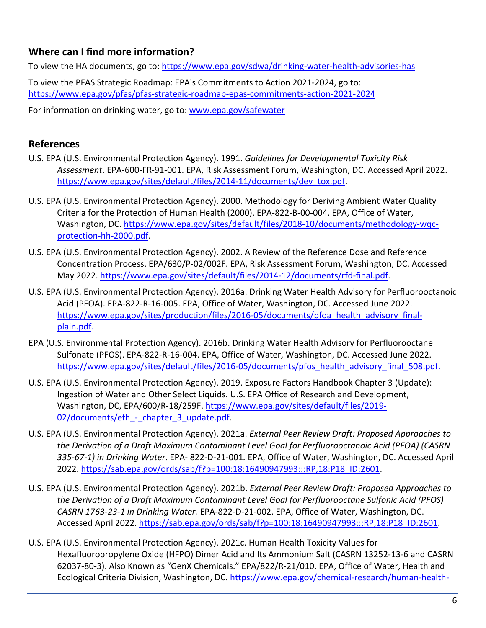# **Where can I find more information?**

To view the HA documents, go to[: https://www.epa.gov/sdwa/drinking-water-health-advisories-has](https://www.epa.gov/sdwa/drinking-water-health-advisories-has)

To view the PFAS Strategic Roadmap: EPA's Commitments to Action 2021-2024, go to: <https://www.epa.gov/pfas/pfas-strategic-roadmap-epas-commitments-action-2021-2024>

For information on drinking water, go to: [www.epa.gov/safewater](http://www.epa.gov/safewater) 

## **References**

- U.S. EPA (U.S. Environmental Protection Agency). 1991. *Guidelines for Developmental Toxicity Risk Assessment*. EPA-600-FR-91-001. EPA, Risk Assessment Forum, Washington, DC. Accessed April 2022. [https://www.epa.gov/sites/default/files/2014-11/documents/dev\\_tox.pdf.](https://www.epa.gov/sites/default/files/2014-11/documents/dev_tox.pdf)
- U.S. EPA (U.S. Environmental Protection Agency). 2000. Methodology for Deriving Ambient Water Quality Criteria for the Protection of Human Health (2000). EPA-822-B-00-004. EPA, Office of Water, Washington, DC. [https://www.epa.gov/sites/default/files/2018-10/documents/methodology-wqc](https://www.epa.gov/sites/default/files/2018-10/documents/methodology-wqc-protection-hh-2000.pdf)[protection-hh-2000.pdf.](https://www.epa.gov/sites/default/files/2018-10/documents/methodology-wqc-protection-hh-2000.pdf)
- U.S. EPA (U.S. Environmental Protection Agency). 2002. A Review of the Reference Dose and Reference Concentration Process. EPA/630/P-02/002F. EPA, Risk Assessment Forum, Washington, DC. Accessed May 2022. [https://www.epa.gov/sites/default/files/2014-12/documents/rfd-final.pdf.](https://www.epa.gov/sites/default/files/2014-12/documents/rfd-final.pdf)
- [U.S.](https://usepa-my.sharepoint.com/personal/flaherty_colleen_epa_gov/Documents/Documents/OST/Perfluorinated%20Compounds/GenX/Comms/GenX%20HA/U.S) EPA (U.S. Environmental Protection Agency). 2016a. Drinking Water Health Advisory for Perfluorooctanoic Acid (PFOA). EPA-822-R-16-005. EPA, Office of Water, Washington, DC. Accessed June 2022. [https://www.epa.gov/sites/production/files/2016-05/documents/pfoa\\_health\\_advisory\\_final](https://www.epa.gov/sites/production/files/2016-05/documents/pfoa_health_advisory_final-plain.pdf)[plain.pdf.](https://www.epa.gov/sites/production/files/2016-05/documents/pfoa_health_advisory_final-plain.pdf)
- EPA (U.S. Environmental Protection Agency). 2016b. Drinking Water Health Advisory for Perfluorooctane Sulfonate (PFOS). EPA-822-R-16-004. EPA, Office of Water, Washington, DC. Accessed June 2022. [https://www.epa.gov/sites/default/files/2016-05/documents/pfos\\_health\\_advisory\\_final\\_508.pdf.](https://www.epa.gov/sites/default/files/2016-05/documents/pfos_health_advisory_final_508.pdf)
- U.S. EPA (U.S. Environmental Protection Agency). 2019. Exposure Factors Handbook Chapter 3 (Update): Ingestion of Water and Other Select Liquids. U.S. EPA Office of Research and Development, Washington, DC, EPA/600/R-18/259F. [https://www.epa.gov/sites/default/files/2019-](https://www.epa.gov/sites/default/files/2019-02/documents/efh_-_chapter_3_update.pdf) 02/documents/efh - chapter 3 update.pdf.
- U.S. EPA (U.S. Environmental Protection Agency). 2021a. *External Peer Review Draft: Proposed Approaches to the Derivation of a Draft Maximum Contaminant Level Goal for Perfluorooctanoic Acid (PFOA) (CASRN 335-67-1) in Drinking Water*. EPA- 822-D-21-001*.* EPA, Office of Water, Washington, DC. Accessed April 2022. [https://sab.epa.gov/ords/sab/f?p=100:18:16490947993:::RP,18:P18\\_ID:2601.](https://sab.epa.gov/ords/sab/f?p=100:18:16490947993:::RP,18:P18_ID:2601)
- U.S. EPA (U.S. Environmental Protection Agency). 2021b. *External Peer Review Draft: Proposed Approaches to the Derivation of a Draft Maximum Contaminant Level Goal for Perfluorooctane Sulfonic Acid (PFOS) CASRN 1763-23-1 in Drinking Water.* EPA-822-D-21-002. EPA, Office of Water, Washington, DC. Accessed April 2022. [https://sab.epa.gov/ords/sab/f?p=100:18:16490947993:::RP,18:P18\\_ID:2601.](https://sab.epa.gov/ords/sab/f?p=100:18:16490947993:::RP,18:P18_ID:2601)
- U.S. EPA (U.S. Environmental Protection Agency). 2021c. Human Health Toxicity Values for Hexafluoropropylene Oxide (HFPO) Dimer Acid and Its Ammonium Salt (CASRN 13252-13-6 and CASRN 62037-80-3). Also Known as "GenX Chemicals." EPA/822/R-21/010. EPA, Office of Water, Health and Ecological Criteria Division, Washington, DC. [https://www.epa.gov/chemical-research/human-health-](https://www.epa.gov/chemical-research/human-health-toxicity-assessments-genx-chemicals)